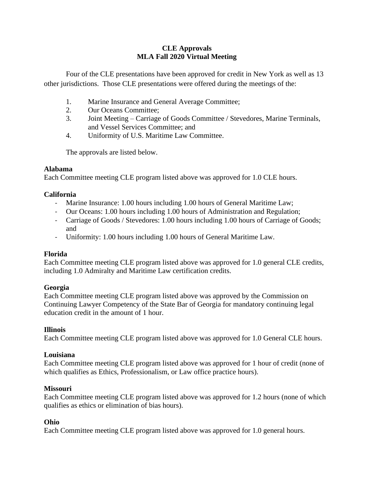# **CLE Approvals MLA Fall 2020 Virtual Meeting**

Four of the CLE presentations have been approved for credit in New York as well as 13 other jurisdictions. Those CLE presentations were offered during the meetings of the:

- 1. Marine Insurance and General Average Committee;
- 2. Our Oceans Committee;
- 3. Joint Meeting Carriage of Goods Committee / Stevedores, Marine Terminals, and Vessel Services Committee; and
- 4. Uniformity of U.S. Maritime Law Committee.

The approvals are listed below.

# **Alabama**

Each Committee meeting CLE program listed above was approved for 1.0 CLE hours.

# **California**

- Marine Insurance: 1.00 hours including 1.00 hours of General Maritime Law;
- Our Oceans: 1.00 hours including 1.00 hours of Administration and Regulation;
- Carriage of Goods / Stevedores: 1.00 hours including 1.00 hours of Carriage of Goods; and
- Uniformity: 1.00 hours including 1.00 hours of General Maritime Law.

# **Florida**

Each Committee meeting CLE program listed above was approved for 1.0 general CLE credits, including 1.0 Admiralty and Maritime Law certification credits.

# **Georgia**

Each Committee meeting CLE program listed above was approved by the Commission on Continuing Lawyer Competency of the State Bar of Georgia for mandatory continuing legal education credit in the amount of 1 hour.

# **Illinois**

Each Committee meeting CLE program listed above was approved for 1.0 General CLE hours.

#### **Louisiana**

Each Committee meeting CLE program listed above was approved for 1 hour of credit (none of which qualifies as Ethics, Professionalism, or Law office practice hours).

# **Missouri**

Each Committee meeting CLE program listed above was approved for 1.2 hours (none of which qualifies as ethics or elimination of bias hours).

# **Ohio**

Each Committee meeting CLE program listed above was approved for 1.0 general hours.